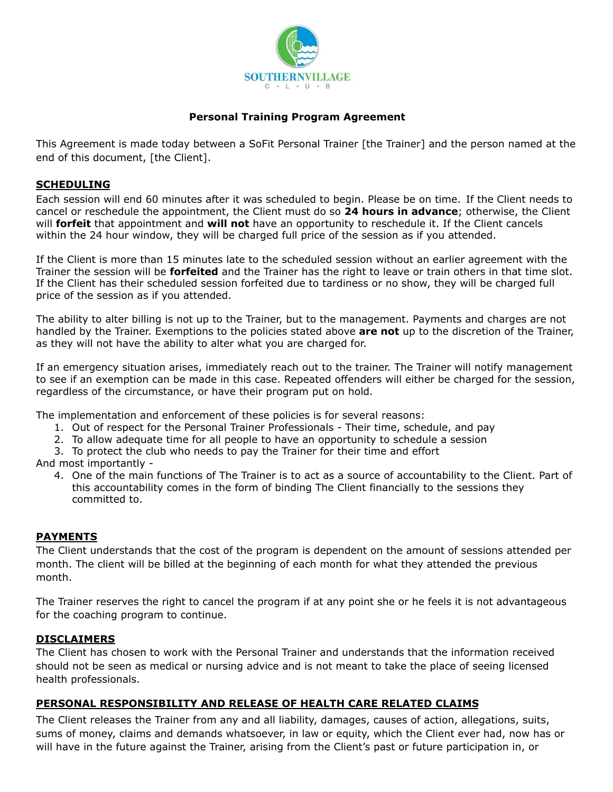

## **Personal Training Program Agreement**

This Agreement is made today between a SoFit Personal Trainer [the Trainer] and the person named at the end of this document, [the Client].

## **SCHEDULING**

Each session will end 60 minutes after it was scheduled to begin. Please be on time. If the Client needs to cancel or reschedule the appointment, the Client must do so **24 hours in advance**; otherwise, the Client will **forfeit** that appointment and **will not** have an opportunity to reschedule it. If the Client cancels within the 24 hour window, they will be charged full price of the session as if you attended.

If the Client is more than 15 minutes late to the scheduled session without an earlier agreement with the Trainer the session will be **forfeited** and the Trainer has the right to leave or train others in that time slot. If the Client has their scheduled session forfeited due to tardiness or no show, they will be charged full price of the session as if you attended.

The ability to alter billing is not up to the Trainer, but to the management. Payments and charges are not handled by the Trainer. Exemptions to the policies stated above **are not** up to the discretion of the Trainer, as they will not have the ability to alter what you are charged for.

If an emergency situation arises, immediately reach out to the trainer. The Trainer will notify management to see if an exemption can be made in this case. Repeated offenders will either be charged for the session, regardless of the circumstance, or have their program put on hold.

The implementation and enforcement of these policies is for several reasons:

- 1. Out of respect for the Personal Trainer Professionals Their time, schedule, and pay
- 2. To allow adequate time for all people to have an opportunity to schedule a session
- 3. To protect the club who needs to pay the Trainer for their time and effort

And most importantly -

4. One of the main functions of The Trainer is to act as a source of accountability to the Client. Part of this accountability comes in the form of binding The Client financially to the sessions they committed to.

# **PAYMENTS**

The Client understands that the cost of the program is dependent on the amount of sessions attended per month. The client will be billed at the beginning of each month for what they attended the previous month.

The Trainer reserves the right to cancel the program if at any point she or he feels it is not advantageous for the coaching program to continue.

### **DISCLAIMERS**

The Client has chosen to work with the Personal Trainer and understands that the information received should not be seen as medical or nursing advice and is not meant to take the place of seeing licensed health professionals.

# **PERSONAL RESPONSIBILITY AND RELEASE OF HEALTH CARE RELATED CLAIMS**

The Client releases the Trainer from any and all liability, damages, causes of action, allegations, suits, sums of money, claims and demands whatsoever, in law or equity, which the Client ever had, now has or will have in the future against the Trainer, arising from the Client's past or future participation in, or